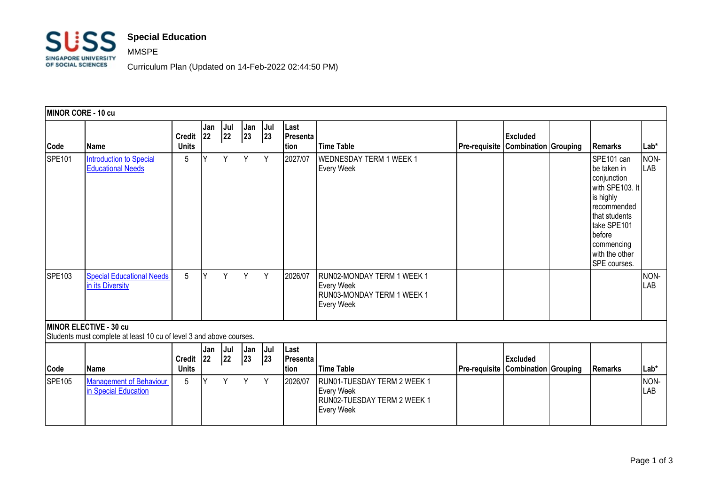

## MMSPE

Curriculum Plan (Updated on 14-Feb-2022 02:44:50 PM)

| MINOR CORE - 10 cu |                                                                                               |                               |            |           |           |           |                                  |                                                                                                      |                      |                                                |                                                                                                                                                                                             |             |
|--------------------|-----------------------------------------------------------------------------------------------|-------------------------------|------------|-----------|-----------|-----------|----------------------------------|------------------------------------------------------------------------------------------------------|----------------------|------------------------------------------------|---------------------------------------------------------------------------------------------------------------------------------------------------------------------------------------------|-------------|
| Code               | Name                                                                                          | <b>Credit</b><br><b>Units</b> | Jan<br>22  | Jul<br>22 | Jan<br>23 | Jul<br>23 | Last<br>Presenta<br>tion         | <b>Time Table</b>                                                                                    | <b>Pre-requisite</b> | <b>Excluded</b><br><b>Combination Grouping</b> | <b>Remarks</b>                                                                                                                                                                              | $Lab*$      |
| <b>SPE101</b>      | Introduction to Special<br><b>Educational Needs</b>                                           | 5                             | Y          | Y         | Y         | Y         | 2027/07                          | <b>WEDNESDAY TERM 1 WEEK 1</b><br><b>Every Week</b>                                                  |                      |                                                | SPE101 can<br>Ibe taken in<br>conjunction<br>with SPE103. It<br>is highly<br>recommended<br>that students<br>take SPE101<br><b>I</b> before<br>commencing<br>with the other<br>SPE courses. | NON-<br>LAB |
| SPE103             | <b>Special Educational Needs</b><br>in its Diversity                                          | 5                             | Y          | Y         | Y         | Y         | 2026/07                          | RUN02-MONDAY TERM 1 WEEK 1<br><b>Every Week</b><br>RUN03-MONDAY TERM 1 WEEK 1<br><b>Every Week</b>   |                      |                                                |                                                                                                                                                                                             | NON-<br>LAB |
|                    | MINOR ELECTIVE - 30 cu<br>Students must complete at least 10 cu of level 3 and above courses. |                               |            |           |           |           |                                  |                                                                                                      |                      |                                                |                                                                                                                                                                                             |             |
| Code               | Name                                                                                          | <b>Credit</b><br><b>Units</b> | Jan<br> 22 | Jul<br>22 | Jan<br>23 | Jul<br>23 | Last<br>Presenta<br><b>Ition</b> | Time Table                                                                                           | <b>Pre-requisite</b> | <b>Excluded</b><br><b>Combination Grouping</b> | Remarks                                                                                                                                                                                     | $Lab*$      |
| <b>SPE105</b>      | <b>Management of Behaviour</b><br>in Special Education                                        | 5                             | γ          | Y         | Y         | Y         | 2026/07                          | RUN01-TUESDAY TERM 2 WEEK 1<br><b>Every Week</b><br>RUN02-TUESDAY TERM 2 WEEK 1<br><b>Every Week</b> |                      |                                                |                                                                                                                                                                                             | NON-<br>LAB |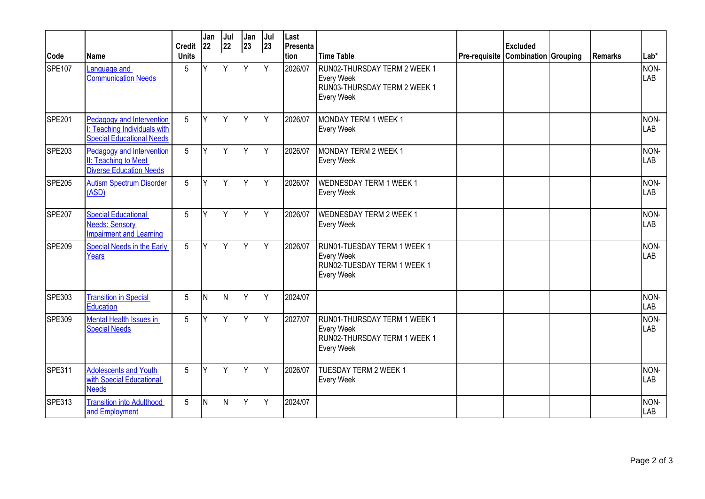|        |                                                                                               | <b>Credit</b>   | Jan<br> 22 | Jul<br>22 | Jan<br>$ 23\rangle$ | Jul<br>23 | Last<br>Presenta |                                                                                                        |                                    | <b>Excluded</b> |         |                    |
|--------|-----------------------------------------------------------------------------------------------|-----------------|------------|-----------|---------------------|-----------|------------------|--------------------------------------------------------------------------------------------------------|------------------------------------|-----------------|---------|--------------------|
| Code   | lName                                                                                         | <b>Units</b>    |            |           |                     |           | tion             | <b>Time Table</b>                                                                                      | Pre-requisite Combination Grouping |                 | Remarks | $Lab*$             |
| SPE107 | Language and<br><b>Communication Needs</b>                                                    | 5               | V          | Y         | Y                   | Y         | 2026/07          | RUN02-THURSDAY TERM 2 WEEK 1<br><b>Every Week</b><br>RUN03-THURSDAY TERM 2 WEEK 1<br><b>Every Week</b> |                                    |                 |         | NON-<br>LAB        |
| SPE201 | Pedagogy and Intervention<br> : Teaching Individuals with<br><b>Special Educational Needs</b> | $5\overline{)}$ | Y          | Y         | Y                   | Y         | 2026/07          | MONDAY TERM 1 WEEK 1<br><b>Every Week</b>                                                              |                                    |                 |         | NON-<br><b>LAB</b> |
| SPE203 | Pedagogy and Intervention<br>II: Teaching to Meet<br><b>Diverse Education Needs</b>           | 5               | Y          | Y         | Y                   | Y         | 2026/07          | MONDAY TERM 2 WEEK 1<br><b>Every Week</b>                                                              |                                    |                 |         | NON-<br><b>LAB</b> |
| SPE205 | <b>Autism Spectrum Disorder</b><br>(ASD)                                                      | $5\phantom{.0}$ | Y          | Y         | $Y -$               | Y         | 2026/07          | <b>WEDNESDAY TERM 1 WEEK 1</b><br><b>Every Week</b>                                                    |                                    |                 |         | NON-<br>LAB        |
| SPE207 | <b>Special Educational</b><br>Needs: Sensory<br><b>Impairment and Learning</b>                | 5               | Y          | Y         | Y                   | Y         | 2026/07          | <b>WEDNESDAY TERM 2 WEEK 1</b><br><b>Every Week</b>                                                    |                                    |                 |         | NON-<br>LAB        |
| SPE209 | Special Needs in the Early<br>Years                                                           | 5               | Y          | Y         | Y                   | Y         | 2026/07          | RUN01-TUESDAY TERM 1 WEEK 1<br><b>Every Week</b><br>RUN02-TUESDAY TERM 1 WEEK 1<br>Every Week          |                                    |                 |         | NON-<br><b>LAB</b> |
| SPE303 | <b>Transition in Special</b><br>Education                                                     | 5               | N          | N         | Y                   | Y         | 2024/07          |                                                                                                        |                                    |                 |         | NON-<br>LAB        |
| SPE309 | <b>Mental Health Issues in</b><br><b>Special Needs</b>                                        | 5               | Y          | Y         | Y                   | Y         | 2027/07          | RUN01-THURSDAY TERM 1 WEEK 1<br><b>Every Week</b><br>RUN02-THURSDAY TERM 1 WEEK 1<br><b>Every Week</b> |                                    |                 |         | NON-<br><b>LAB</b> |
| SPE311 | <b>Adolescents and Youth</b><br>with Special Educational<br><b>Needs</b>                      | 5               | Υ          | Y         | Y                   | Y         | 2026/07          | <b>TUESDAY TERM 2 WEEK 1</b><br><b>Every Week</b>                                                      |                                    |                 |         | NON-<br>LAB        |
| SPE313 | <b>Transition into Adulthood</b><br>and Employment                                            | 5               | IN.        | N         | Y                   | Y         | 2024/07          |                                                                                                        |                                    |                 |         | NON-<br><b>LAB</b> |